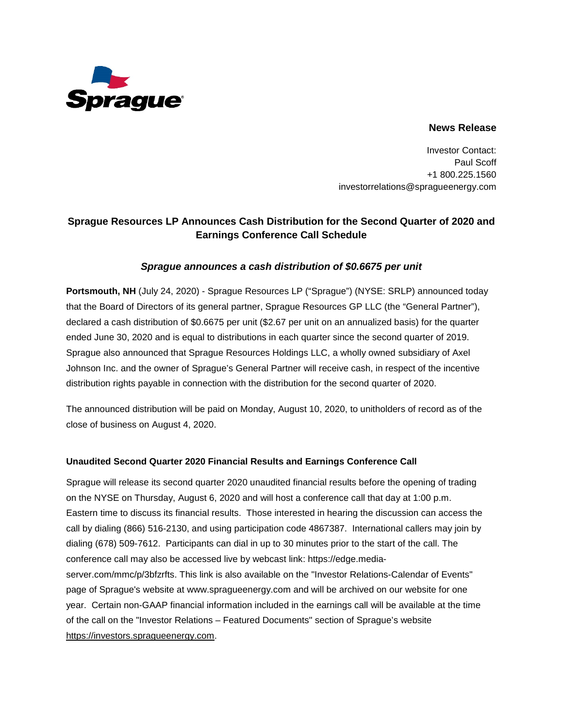

## **News Release**

Investor Contact: Paul Scoff +1 800.225.1560 investorrelations@spragueenergy.com

# **Sprague Resources LP Announces Cash Distribution for the Second Quarter of 2020 and Earnings Conference Call Schedule**

# *Sprague announces a cash distribution of \$0.6675 per unit*

**Portsmouth, NH** (July 24, 2020) - Sprague Resources LP ("Sprague") (NYSE: SRLP) announced today that the Board of Directors of its general partner, Sprague Resources GP LLC (the "General Partner"), declared a cash distribution of \$0.6675 per unit (\$2.67 per unit on an annualized basis) for the quarter ended June 30, 2020 and is equal to distributions in each quarter since the second quarter of 2019. Sprague also announced that Sprague Resources Holdings LLC, a wholly owned subsidiary of Axel Johnson Inc. and the owner of Sprague's General Partner will receive cash, in respect of the incentive distribution rights payable in connection with the distribution for the second quarter of 2020.

The announced distribution will be paid on Monday, August 10, 2020, to unitholders of record as of the close of business on August 4, 2020.

### **Unaudited Second Quarter 2020 Financial Results and Earnings Conference Call**

Sprague will release its second quarter 2020 unaudited financial results before the opening of trading on the NYSE on Thursday, August 6, 2020 and will host a conference call that day at 1:00 p.m. Eastern time to discuss its financial results. Those interested in hearing the discussion can access the call by dialing (866) 516-2130, and using participation code 4867387. International callers may join by dialing (678) 509-7612. Participants can dial in up to 30 minutes prior to the start of the call. The conference call may also be accessed live by webcast link: [https://edge.media](https://edge.media-server.com/mmc/p/3bfzrfts)[server.com/mmc/p/3bfzrfts.](https://edge.media-server.com/mmc/p/3bfzrfts) This link is also available on the "Investor Relations-Calendar of Events" page of Sprague's website at www.spragueenergy.com and will be archived on our website for one year. Certain non-GAAP financial information included in the earnings call will be available at the time of the call on the "Investor Relations – Featured Documents" section of Sprague's website [https://investors.spragueenergy.com.](https://investors.spragueenergy.com/)